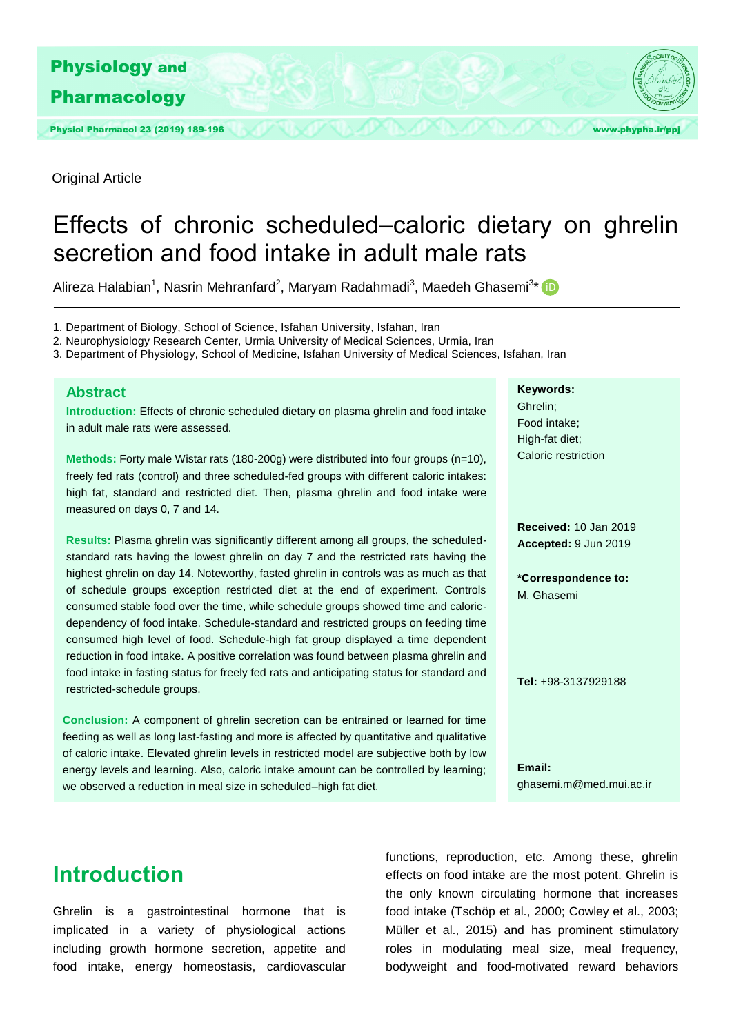

Original Article

# Effects of chronic scheduled–caloric dietary on ghrelin secretion and food intake in adult male rats

Alireza Halabian<sup>1</sup>, Nasrin Mehranfard<sup>2</sup>, Maryam Radahmadi<sup>3</sup>, Maedeh Ghasemi<sup>3\*</sup> D

1. Department of Biology, School of Science, Isfahan University, Isfahan, Iran

2. Neurophysiology Research Center, Urmia University of Medical Sciences, Urmia, Iran

3. Department of Physiology, School of Medicine, Isfahan University of Medical Sciences, Isfahan, Iran

#### **Abstract**

**Introduction:** Effects of chronic scheduled dietary on plasma ghrelin and food intake in adult male rats were assessed.

**Methods:** Forty male Wistar rats (180-200g) were distributed into four groups (n=10), freely fed rats (control) and three scheduled-fed groups with different caloric intakes: high fat, standard and restricted diet. Then, plasma ghrelin and food intake were measured on days 0, 7 and 14.

**Results:** Plasma ghrelin was significantly different among all groups, the scheduledstandard rats having the lowest ghrelin on day 7 and the restricted rats having the highest ghrelin on day 14. Noteworthy, fasted ghrelin in controls was as much as that of schedule groups exception restricted diet at the end of experiment. Controls consumed stable food over the time, while schedule groups showed time and caloricdependency of food intake. Schedule-standard and restricted groups on feeding time consumed high level of food. Schedule-high fat group displayed a time dependent reduction in food intake. A positive correlation was found between plasma ghrelin and food intake in fasting status for freely fed rats and anticipating status for standard and restricted-schedule groups.

**Conclusion:** A component of ghrelin secretion can be entrained or learned for time feeding as well as long last-fasting and more is affected by quantitative and qualitative of caloric intake. Elevated ghrelin levels in restricted model are subjective both by low energy levels and learning. Also, caloric intake amount can be controlled by learning; we observed a reduction in meal size in scheduled–high fat diet.

#### **Keywords:**

Ghrelin; Food intake; High-fat diet; Caloric restriction

**Received:** 10 Jan 2019 **Accepted:** 9 Jun 2019

**\*Correspondence to:**  M. Ghasemi

**Tel:** +98-3137929188

**Email:**  ghasemi.m@med.mui.ac.ir

# **Introduction**

Ghrelin is a gastrointestinal hormone that is implicated in a variety of physiological actions including growth hormone secretion, appetite and food intake, energy homeostasis, cardiovascular

functions, reproduction, etc. Among these, ghrelin effects on food intake are the most potent. Ghrelin is the only known circulating hormone that increases food intake (Tschöp et al., 2000; Cowley et al., 2003; Müller et al., 2015) and has prominent stimulatory roles in modulating meal size, meal frequency, bodyweight and food-motivated reward behaviors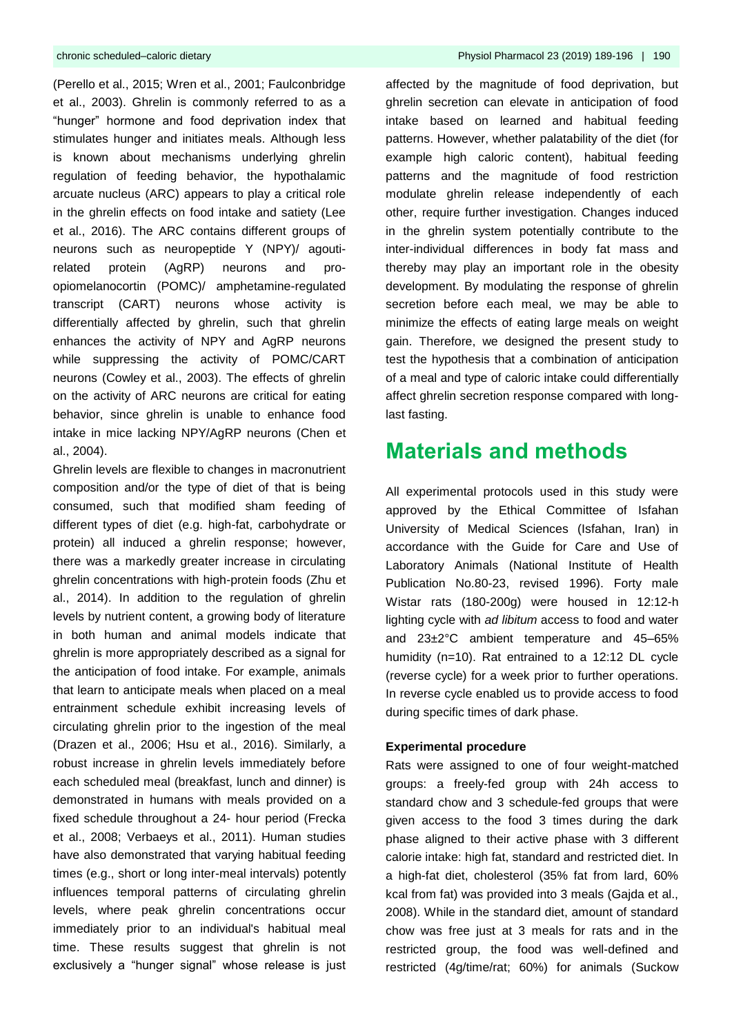(Perello et al., 2015; Wren et al., 2001; Faulconbridge et al., 2003). Ghrelin is commonly referred to as a "hunger" hormone and food deprivation index that stimulates hunger and initiates meals. Although less is known about mechanisms underlying ghrelin regulation of feeding behavior, the hypothalamic arcuate nucleus (ARC) appears to play a critical role in the ghrelin effects on food intake and satiety (Lee et al., 2016). The ARC contains different groups of neurons such as neuropeptide Y (NPY)/ agoutirelated protein (AgRP) neurons and proopiomelanocortin (POMC)/ amphetamine-regulated transcript (CART) neurons whose activity is differentially affected by ghrelin, such that ghrelin enhances the activity of NPY and AgRP neurons while suppressing the activity of POMC/CART neurons (Cowley et al., 2003). The effects of ghrelin on the activity of ARC neurons are critical for eating behavior, since ghrelin is unable to enhance food intake in mice lacking NPY/AgRP neurons (Chen et al., 2004).

Ghrelin levels are flexible to changes in macronutrient composition and/or the type of diet of that is being consumed, such that modified sham feeding of different types of diet (e.g. high-fat, carbohydrate or protein) all induced a ghrelin response; however, there was a markedly greater increase in circulating ghrelin concentrations with high-protein foods (Zhu et al., 2014). In addition to the regulation of ghrelin levels by nutrient content, a growing body of literature in both human and animal models indicate that ghrelin is more appropriately described as a signal for the anticipation of food intake. For example, animals that learn to anticipate meals when placed on a meal entrainment schedule exhibit increasing levels of circulating ghrelin prior to the ingestion of the meal (Drazen et al., 2006; Hsu et al., 2016). Similarly, a robust increase in ghrelin levels immediately before each scheduled meal (breakfast, lunch and dinner) is demonstrated in humans with meals provided on a fixed schedule throughout a 24- hour period (Frecka et al., 2008; Verbaeys et al., 2011). Human studies have also demonstrated that varying habitual feeding times (e.g., short or long inter-meal intervals) potently influences temporal patterns of circulating ghrelin levels, where peak ghrelin concentrations occur immediately prior to an individual's habitual meal time. These results suggest that ghrelin is not exclusively a "hunger signal" whose release is just

affected by the magnitude of food deprivation, but ghrelin secretion can elevate in anticipation of food intake based on learned and habitual feeding patterns. However, whether palatability of the diet (for example high caloric content), habitual feeding patterns and the magnitude of food restriction modulate ghrelin release independently of each other, require further investigation. Changes induced in the ghrelin system potentially contribute to the inter-individual differences in body fat mass and thereby may play an important role in the obesity development. By modulating the response of ghrelin secretion before each meal, we may be able to minimize the effects of eating large meals on weight gain. Therefore, we designed the present study to test the hypothesis that a combination of anticipation of a meal and type of caloric intake could differentially affect ghrelin secretion response compared with longlast fasting.

### **Materials and methods**

All experimental protocols used in this study were approved by the Ethical Committee of Isfahan University of Medical Sciences (Isfahan, Iran) in accordance with the Guide for Care and Use of Laboratory Animals (National Institute of Health Publication No.80-23, revised 1996). Forty male Wistar rats (180-200g) were housed in 12:12-h lighting cycle with *ad libitum* access to food and water and 23±2°C ambient temperature and 45–65% humidity (n=10). Rat entrained to a 12:12 DL cycle (reverse cycle) for a week prior to further operations. In reverse cycle enabled us to provide access to food during specific times of dark phase.

#### **Experimental procedure**

Rats were assigned to one of four weight-matched groups: a freely-fed group with 24h access to standard chow and 3 schedule-fed groups that were given access to the food 3 times during the dark phase aligned to their active phase with 3 different calorie intake: high fat, standard and restricted diet. In a high-fat diet, cholesterol (35% fat from lard, 60% kcal from fat) was provided into 3 meals (Gajda et al., 2008). While in the standard diet, amount of standard chow was free just at 3 meals for rats and in the restricted group, the food was well-defined and restricted (4g/time/rat; 60%) for animals (Suckow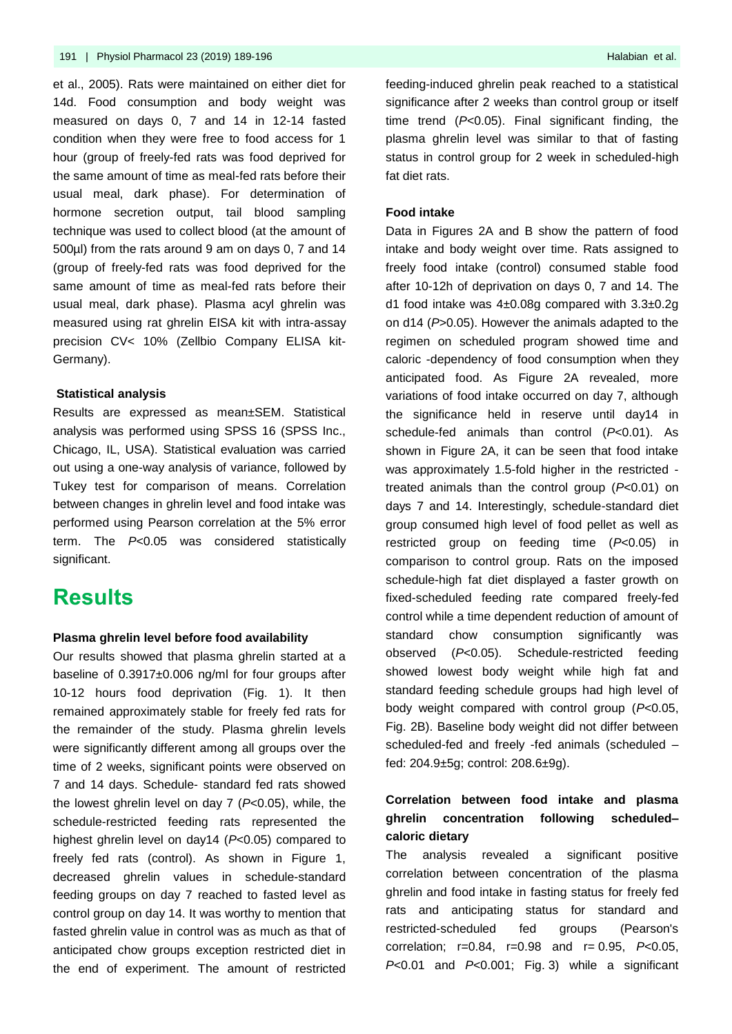et al., 2005). Rats were maintained on either diet for 14d. Food consumption and body weight was measured on days 0, 7 and 14 in 12-14 fasted condition when they were free to food access for 1 hour (group of freely-fed rats was food deprived for the same amount of time as meal-fed rats before their usual meal, dark phase). For determination of hormone secretion output, tail blood sampling technique was used to collect blood (at the amount of 500µl) from the rats around 9 am on days 0, 7 and 14 (group of freely-fed rats was food deprived for the same amount of time as meal-fed rats before their usual meal, dark phase). Plasma acyl ghrelin was measured using rat ghrelin EISA kit with intra-assay precision CV< 10% (Zellbio Company ELISA kit-Germany).

#### **Statistical analysis**

Results are expressed as mean±SEM. Statistical analysis was performed using SPSS 16 (SPSS Inc., Chicago, IL, USA). Statistical evaluation was carried out using a one-way analysis of variance, followed by Tukey test for comparison of means. Correlation between changes in ghrelin level and food intake was performed using Pearson correlation at the 5% error term. The *P*<0.05 was considered statistically significant.

### **Results**

#### **Plasma ghrelin level before food availability**

Our results showed that plasma ghrelin started at a baseline of 0.3917±0.006 ng/ml for four groups after 10-12 hours food deprivation (Fig. 1). It then remained approximately stable for freely fed rats for the remainder of the study. Plasma ghrelin levels were significantly different among all groups over the time of 2 weeks, significant points were observed on 7 and 14 days. Schedule- standard fed rats showed the lowest ghrelin level on day 7 (*P*<0.05), while, the schedule-restricted feeding rats represented the highest ghrelin level on day14 (*P*<0.05) compared to freely fed rats (control). As shown in Figure 1, decreased ghrelin values in schedule-standard feeding groups on day 7 reached to fasted level as control group on day 14. It was worthy to mention that fasted ghrelin value in control was as much as that of anticipated chow groups exception restricted diet in the end of experiment. The amount of restricted

feeding-induced ghrelin peak reached to a statistical significance after 2 weeks than control group or itself time trend (*P*<0.05). Final significant finding, the plasma ghrelin level was similar to that of fasting status in control group for 2 week in scheduled-high fat diet rats.

#### **Food intake**

Data in Figures 2A and B show the pattern of food intake and body weight over time. Rats assigned to freely food intake (control) consumed stable food after 10-12h of deprivation on days 0, 7 and 14. The d1 food intake was 4±0.08g compared with 3.3±0.2g on d14 (*P*>0.05). However the animals adapted to the regimen on scheduled program showed time and caloric -dependency of food consumption when they anticipated food. As Figure 2A revealed, more variations of food intake occurred on day 7, although the significance held in reserve until day14 in schedule-fed animals than control (*P*<0.01). As shown in Figure 2A, it can be seen that food intake was approximately 1.5-fold higher in the restricted treated animals than the control group (*P*<0.01) on days 7 and 14. Interestingly, schedule-standard diet group consumed high level of food pellet as well as restricted group on feeding time (*P*<0.05) in comparison to control group. Rats on the imposed schedule-high fat diet displayed a faster growth on fixed-scheduled feeding rate compared freely-fed control while a time dependent reduction of amount of standard chow consumption significantly was observed (*P*<0.05). Schedule-restricted feeding showed lowest body weight while high fat and standard feeding schedule groups had high level of body weight compared with control group (*P*<0.05, Fig. 2B). Baseline body weight did not differ between scheduled-fed and freely -fed animals (scheduled – fed: 204.9±5g; control: 208.6±9g).

### **Correlation between food intake and plasma ghrelin concentration following scheduled– caloric dietary**

The analysis revealed a significant positive correlation between concentration of the plasma ghrelin and food intake in fasting status for freely fed rats and anticipating status for standard and restricted-scheduled fed groups (Pearson's correlation; r=0.84, r=0.98 and r= 0.95, *P*<0.05, *P*<0.01 and *P*<0.001; [Fig.](http://www.sciencedirect.com/science/article/pii/S0031938414006064#f0025) 3) while a significant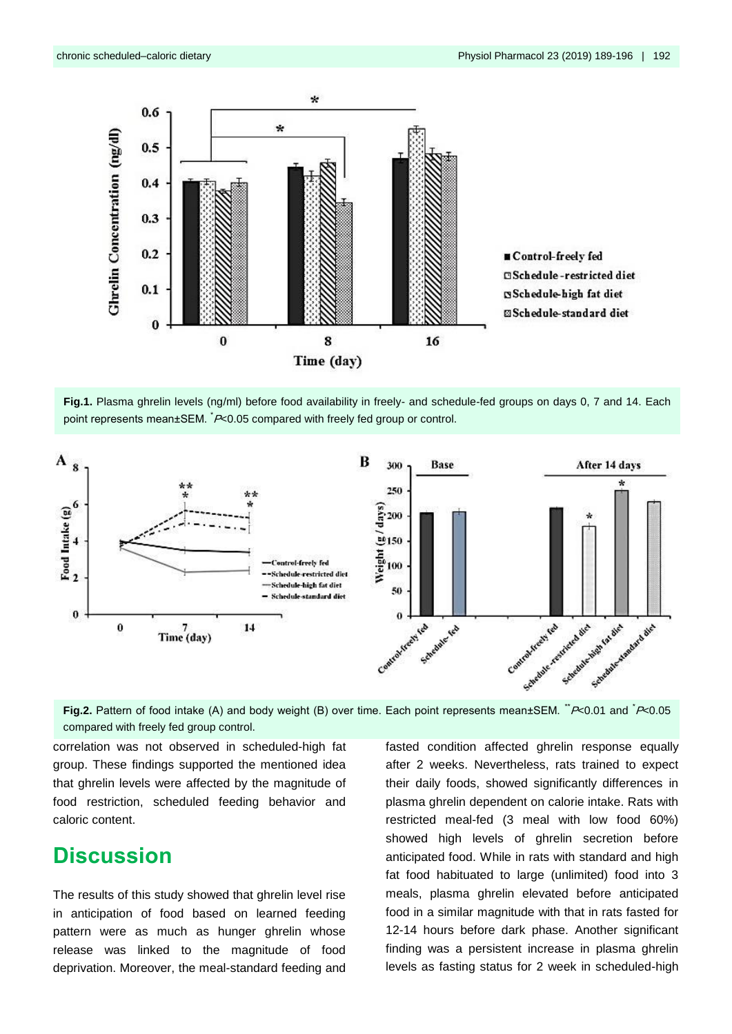

■ Control-freely fed **ESchedule-restricted diet Schedule-high fat diet ØSchedule-standard diet** 





Fig.2. Pattern of food intake (A) and body weight (B) over time. Each point represents mean±SEM. "P<0.01 and <sup>\*</sup>P<0.05 compared with freely fed group control.

correlation was not observed in scheduled-high fat group. These findings supported the mentioned idea that ghrelin levels were affected by the magnitude of food restriction, scheduled feeding behavior and caloric content.

### **Discussion**

The results of this study showed that ghrelin level rise in anticipation of food based on learned feeding pattern were as much as hunger ghrelin whose release was linked to the magnitude of food deprivation. Moreover, the meal-standard feeding and fasted condition affected ghrelin response equally after 2 weeks. Nevertheless, rats trained to expect their daily foods, showed significantly differences in plasma ghrelin dependent on calorie intake. Rats with restricted meal-fed (3 meal with low food 60%) showed high levels of ghrelin secretion before anticipated food. While in rats with standard and high fat food habituated to large (unlimited) food into 3 meals, plasma ghrelin elevated before anticipated food in a similar magnitude with that in rats fasted for 12-14 hours before dark phase. Another significant finding was a persistent increase in plasma ghrelin levels as fasting status for 2 week in scheduled-high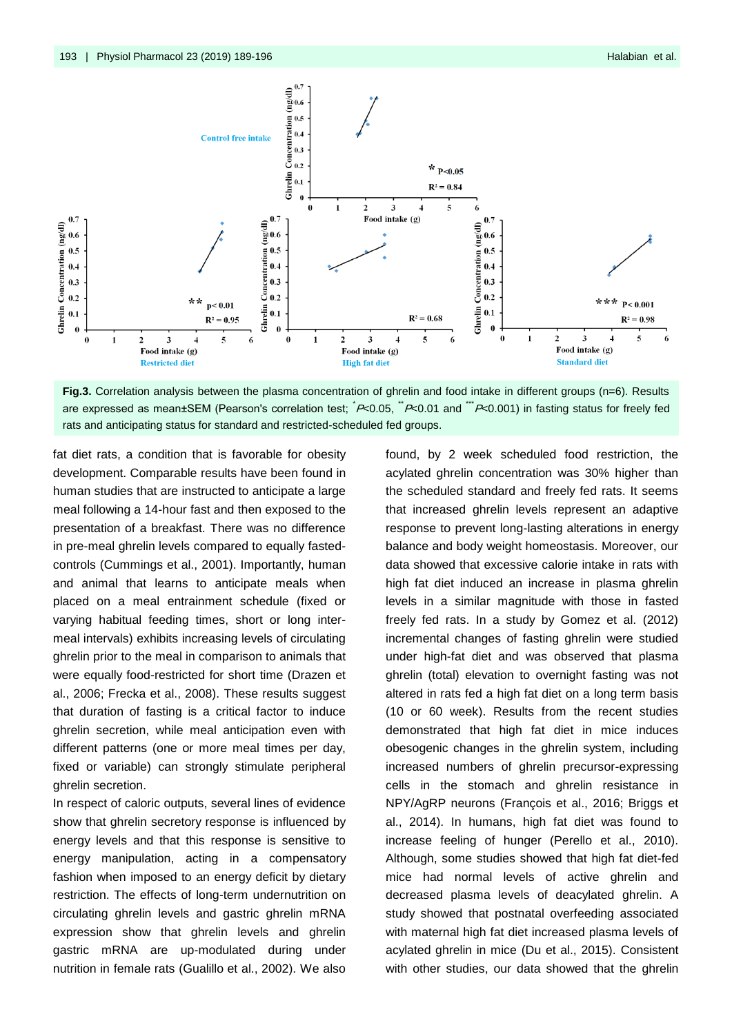



fat diet rats, a condition that is favorable for obesity development. Comparable results have been found in human studies that are instructed to anticipate a large meal following a 14-hour fast and then exposed to the presentation of a breakfast. There was no difference in pre-meal ghrelin levels compared to equally fastedcontrols (Cummings et al., 2001). Importantly, human and animal that learns to anticipate meals when placed on a meal entrainment schedule (fixed or varying habitual feeding times, short or long intermeal intervals) exhibits increasing levels of circulating ghrelin prior to the meal in comparison to animals that were equally food-restricted for short time (Drazen et al., 2006; Frecka et al., 2008). These results suggest that duration of fasting is a critical factor to induce ghrelin secretion, while meal anticipation even with different patterns (one or more meal times per day, fixed or variable) can strongly stimulate peripheral ghrelin secretion.

In respect of caloric outputs, several lines of evidence show that ghrelin secretory response is influenced by energy levels and that this response is sensitive to energy manipulation, acting in a compensatory fashion when imposed to an energy deficit by dietary restriction. The effects of long-term undernutrition on circulating ghrelin levels and gastric ghrelin mRNA expression show that ghrelin levels and ghrelin gastric mRNA are up-modulated during under nutrition in female rats (Gualillo et al., 2002). We also

found, by 2 week scheduled food restriction, the acylated ghrelin concentration was 30% higher than the scheduled standard and freely fed rats. It seems that increased ghrelin levels represent an adaptive response to prevent long-lasting alterations in energy balance and body weight homeostasis. Moreover, our data showed that excessive calorie intake in rats with high fat diet induced an increase in plasma ghrelin levels in a similar magnitude with those in fasted freely fed rats. In a study by Gomez et al. (2012) incremental changes of fasting ghrelin were studied under high-fat diet and was observed that plasma ghrelin (total) elevation to overnight fasting was not altered in rats fed a high fat diet on a long term basis (10 or 60 week). Results from the recent studies demonstrated that high fat diet in mice induces obesogenic changes in the ghrelin system, including increased numbers of ghrelin precursor-expressing cells in the stomach and ghrelin resistance in NPY/AgRP neurons (François et al., 2016; Briggs et al., 2014). In humans, high fat diet was found to increase feeling of hunger (Perello et al., 2010). Although, some studies showed that high fat diet-fed mice had normal levels of active ghrelin and decreased plasma levels of deacylated ghrelin. A study showed that postnatal overfeeding associated with maternal high fat diet increased plasma levels of acylated ghrelin in mice (Du et al., 2015). Consistent with other studies, our data showed that the ghrelin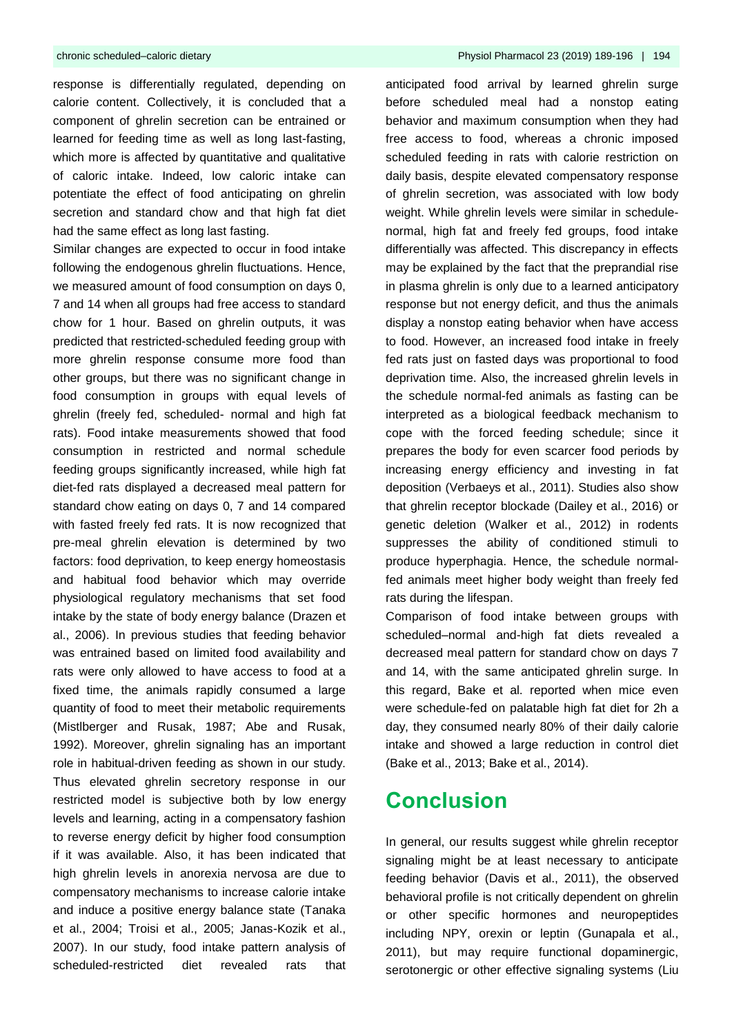response is differentially regulated, depending on calorie content. Collectively, it is concluded that a component of ghrelin secretion can be entrained or learned for feeding time as well as long last-fasting, which more is affected by quantitative and qualitative of caloric intake. Indeed, low caloric intake can potentiate the effect of food anticipating on ghrelin secretion and standard chow and that high fat diet had the same effect as long last fasting.

Similar changes are expected to occur in food intake following the endogenous ghrelin fluctuations. Hence, we measured amount of food consumption on days 0, 7 and 14 when all groups had free access to standard chow for 1 hour. Based on ghrelin outputs, it was predicted that restricted-scheduled feeding group with more ghrelin response consume more food than other groups, but there was no significant change in food consumption in groups with equal levels of ghrelin (freely fed, scheduled- normal and high fat rats). Food intake measurements showed that food consumption in restricted and normal schedule feeding groups significantly increased, while high fat diet-fed rats displayed a decreased meal pattern for standard chow eating on days 0, 7 and 14 compared with fasted freely fed rats. It is now recognized that pre-meal ghrelin elevation is determined by two factors: food deprivation, to keep energy homeostasis and habitual food behavior which may override physiological regulatory mechanisms that set food intake by the state of body energy balance (Drazen et al., 2006). In previous studies that feeding behavior was entrained based on limited food availability and rats were only allowed to have access to food at a fixed time, the animals rapidly consumed a large quantity of food to meet their metabolic requirements (Mistlberger and Rusak, 1987; Abe and Rusak, 1992). Moreover, ghrelin signaling has an important role in habitual-driven feeding as shown in our study. Thus elevated ghrelin secretory response in our restricted model is subjective both by low energy levels and learning, acting in a compensatory fashion to reverse energy deficit by higher food consumption if it was available. Also, it has been indicated that high ghrelin levels in anorexia nervosa are due to compensatory mechanisms to increase calorie intake and induce a positive energy balance state (Tanaka et al., 2004; Troisi et al., 2005; Janas-Kozik et al., 2007). In our study, food intake pattern analysis of scheduled-restricted diet revealed rats that

anticipated food arrival by learned ghrelin surge before scheduled meal had a nonstop eating behavior and maximum consumption when they had free access to food, whereas a chronic imposed scheduled feeding in rats with calorie restriction on daily basis, despite elevated compensatory response of ghrelin secretion, was associated with low body weight. While ghrelin levels were similar in schedulenormal, high fat and freely fed groups, food intake differentially was affected. This discrepancy in effects may be explained by the fact that the preprandial rise in plasma ghrelin is only due to a learned anticipatory response but not energy deficit, and thus the animals display a nonstop eating behavior when have access to food. However, an increased food intake in freely fed rats just on fasted days was proportional to food deprivation time. Also, the increased ghrelin levels in the schedule normal-fed animals as fasting can be interpreted as a biological feedback mechanism to cope with the forced feeding schedule; since it prepares the body for even scarcer food periods by increasing energy efficiency and investing in fat deposition (Verbaeys et al., 2011). Studies also show that ghrelin receptor blockade (Dailey et al., 2016) or genetic deletion (Walker et al., 2012) in rodents suppresses the ability of conditioned stimuli to produce hyperphagia. Hence, the schedule normalfed animals meet higher body weight than freely fed rats during the lifespan.

Comparison of food intake between groups with scheduled–normal and-high fat diets revealed a decreased meal pattern for standard chow on days 7 and 14, with the same anticipated ghrelin surge. In this regard, Bake et al. reported when mice even were schedule-fed on palatable high fat diet for 2h a day, they consumed nearly 80% of their daily calorie intake and showed a large reduction in control diet (Bake et al., 2013; Bake et al., 2014).

## **Conclusion**

In general, our results suggest while ghrelin receptor signaling might be at least necessary to anticipate feeding behavior (Davis et al., 2011), the observed behavioral profile is not critically dependent on ghrelin or other specific hormones and neuropeptides including NPY, orexin or leptin (Gunapala et al., 2011), but may require functional dopaminergic, serotonergic or other effective signaling systems (Liu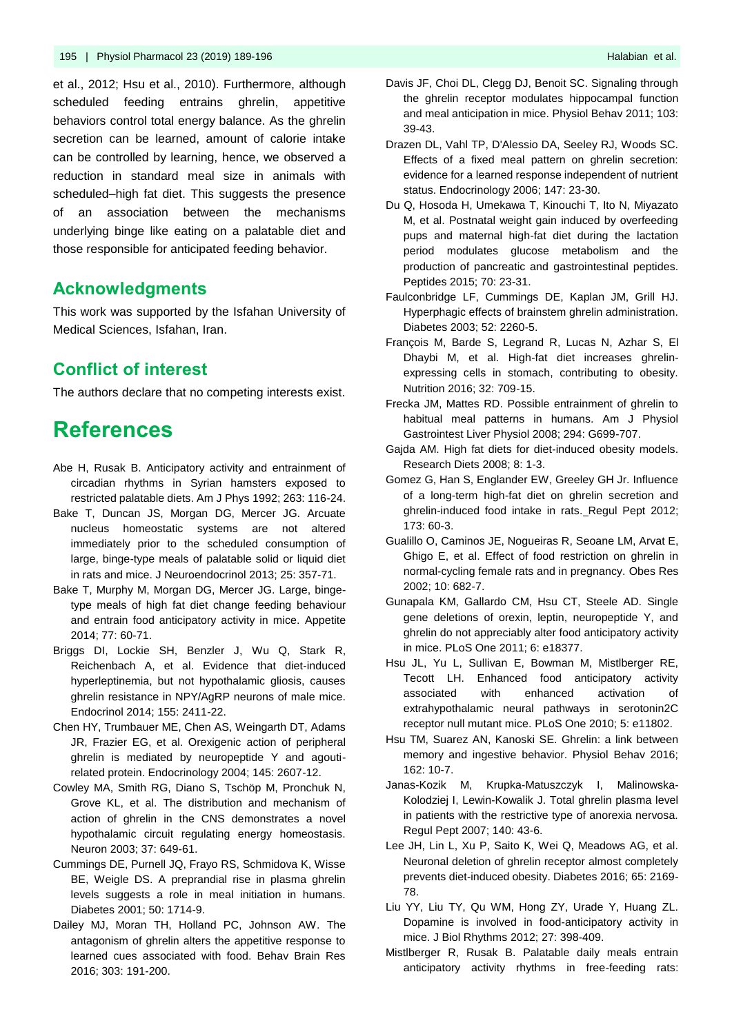et al., 2012; Hsu et al., 2010). Furthermore, although scheduled feeding entrains ghrelin, appetitive behaviors control total energy balance. As the ghrelin secretion can be learned, amount of calorie intake can be controlled by learning, hence, we observed a reduction in standard meal size in animals with scheduled–high fat diet. This suggests the presence of an association between the mechanisms underlying binge like eating on a palatable diet and those responsible for anticipated feeding behavior.

### **Acknowledgments**

This work was supported by the Isfahan University of Medical Sciences, Isfahan, Iran.

### **Conflict of interest**

The authors declare that no competing interests exist.

# **References**

- Abe H, Rusak B. Anticipatory activity and entrainment of circadian rhythms in Syrian hamsters exposed to restricted palatable diets. Am J Phys 1992; 263: 116-24.
- Bake T, Duncan JS, Morgan DG, Mercer JG. Arcuate nucleus homeostatic systems are not altered immediately prior to the scheduled consumption of large, binge-type meals of palatable solid or liquid diet in rats and mice. J Neuroendocrinol 2013; 25: 357-71.
- [Bake T,](https://www.ncbi.nlm.nih.gov/pubmed/?term=Bake%20T%5BAuthor%5D&cauthor=true&cauthor_uid=24631639) [Murphy M,](https://www.ncbi.nlm.nih.gov/pubmed/?term=Murphy%20M%5BAuthor%5D&cauthor=true&cauthor_uid=24631639) [Morgan DG,](https://www.ncbi.nlm.nih.gov/pubmed/?term=Morgan%20DG%5BAuthor%5D&cauthor=true&cauthor_uid=24631639) [Mercer JG.](https://www.ncbi.nlm.nih.gov/pubmed/?term=Mercer%20JG%5BAuthor%5D&cauthor=true&cauthor_uid=24631639) Large, bingetype meals of high fat diet change feeding behaviour and entrain food anticipatory activity in mice. [Appetite](https://www.ncbi.nlm.nih.gov/pmc/articles/PMC4152876/) 2014; 77: 60-71.
- [Briggs DI,](https://www.ncbi.nlm.nih.gov/pubmed/?term=Briggs%20DI%5BAuthor%5D&cauthor=true&cauthor_uid=24742194) [Lockie SH,](https://www.ncbi.nlm.nih.gov/pubmed/?term=Lockie%20SH%5BAuthor%5D&cauthor=true&cauthor_uid=24742194) [Benzler J,](https://www.ncbi.nlm.nih.gov/pubmed/?term=Benzler%20J%5BAuthor%5D&cauthor=true&cauthor_uid=24742194) [Wu Q,](https://www.ncbi.nlm.nih.gov/pubmed/?term=Wu%20Q%5BAuthor%5D&cauthor=true&cauthor_uid=24742194) [Stark R,](https://www.ncbi.nlm.nih.gov/pubmed/?term=Stark%20R%5BAuthor%5D&cauthor=true&cauthor_uid=24742194) [Reichenbach A,](https://www.ncbi.nlm.nih.gov/pubmed/?term=Reichenbach%20A%5BAuthor%5D&cauthor=true&cauthor_uid=24742194) et al. Evidence that diet-induced hyperleptinemia, but not hypothalamic gliosis, causes ghrelin resistance in NPY/AgRP neurons of male mice. [Endocrinol](https://www.ncbi.nlm.nih.gov/pubmed/24742194) 2014; 155: 2411-22.
- Chen HY, Trumbauer ME, Chen AS, Weingarth DT, Adams JR, Frazier EG, et al. Orexigenic action of peripheral ghrelin is mediated by neuropeptide Y and agoutirelated protein. Endocrinology 2004; 145: 2607-12.
- Cowley MA, Smith RG, Diano S, Tschöp M, Pronchuk N, Grove KL, et al. The distribution and mechanism of action of ghrelin in the CNS demonstrates a novel hypothalamic circuit regulating energy homeostasis. Neuron 2003; 37: 649-61.
- Cummings DE, Purnell JQ, Frayo RS, Schmidova K, Wisse BE, Weigle DS. A preprandial rise in plasma ghrelin levels suggests a role in meal initiation in humans. Diabetes 2001; 50: 1714-9.
- [Dailey MJ,](https://www.ncbi.nlm.nih.gov/pubmed/?term=Dailey%20MJ%5BAuthor%5D&cauthor=true&cauthor_uid=26802728) [Moran TH,](https://www.ncbi.nlm.nih.gov/pubmed/?term=Moran%20TH%5BAuthor%5D&cauthor=true&cauthor_uid=26802728) [Holland PC,](https://www.ncbi.nlm.nih.gov/pubmed/?term=Holland%20PC%5BAuthor%5D&cauthor=true&cauthor_uid=26802728) [Johnson AW.](https://www.ncbi.nlm.nih.gov/pubmed/?term=Johnson%20AW%5BAuthor%5D&cauthor=true&cauthor_uid=26802728) The antagonism of ghrelin alters the appetitive response to learned cues associated with food. Behav Brain Res 2016; 303: 191-200.
- Davis JF, Choi DL, Clegg DJ, Benoit SC. Signaling through the ghrelin receptor modulates hippocampal function and meal anticipation in mice. Physiol Behav 2011; 103: 39-43.
- Drazen DL, Vahl TP, D'Alessio DA, Seeley RJ, Woods SC. Effects of a fixed meal pattern on ghrelin secretion: evidence for a learned response independent of nutrient status. Endocrinology 2006; 147: 23-30.
- Du Q, Hosoda H, Umekawa T, Kinouchi T, Ito N, Miyazato M, et al. Postnatal weight gain induced by overfeeding pups and maternal high-fat diet during the lactation period modulates glucose metabolism and the production of pancreatic and gastrointestinal peptides. Peptides 2015; 70: 23-31.
- Faulconbridge LF, Cummings DE, Kaplan JM, Grill HJ. Hyperphagic effects of brainstem ghrelin administration. Diabetes 2003; 52: 2260-5.
- [François M,](https://www.ncbi.nlm.nih.gov/pubmed/?term=Fran%C3%A7ois%20M%5BAuthor%5D&cauthor=true&cauthor_uid=26856650) [Barde S,](https://www.ncbi.nlm.nih.gov/pubmed/?term=Barde%20S%5BAuthor%5D&cauthor=true&cauthor_uid=26856650) [Legrand R,](https://www.ncbi.nlm.nih.gov/pubmed/?term=Legrand%20R%5BAuthor%5D&cauthor=true&cauthor_uid=26856650) [Lucas N,](https://www.ncbi.nlm.nih.gov/pubmed/?term=Lucas%20N%5BAuthor%5D&cauthor=true&cauthor_uid=26856650) [Azhar S,](https://www.ncbi.nlm.nih.gov/pubmed/?term=Azhar%20S%5BAuthor%5D&cauthor=true&cauthor_uid=26856650) El Dhaybi M, et al. High-fat diet increases ghrelinexpressing cells in stomach, contributing to obesity. Nutrition 2016; 32: 709-15.
- Frecka JM, Mattes RD. Possible entrainment of ghrelin to habitual meal patterns in humans. Am J Physiol Gastrointest Liver Physiol 2008; 294: G699-707.
- Gajda AM. High fat diets for diet-induced obesity models. Research Diets 2008; 8: 1-3.
- Gomez G, Han S, Englander EW, Greeley GH Jr. Influence of a long-term high-fat diet on ghrelin secretion and ghrelin-induced food intake in rats. Regul Pept 2012; 173: 60-3.
- [Gualillo O,](https://www.ncbi.nlm.nih.gov/pubmed/?term=Gualillo%20O%5BAuthor%5D&cauthor=true&cauthor_uid=12105291) [Caminos JE,](https://www.ncbi.nlm.nih.gov/pubmed/?term=Caminos%20JE%5BAuthor%5D&cauthor=true&cauthor_uid=12105291) [Nogueiras R,](https://www.ncbi.nlm.nih.gov/pubmed/?term=Nogueiras%20R%5BAuthor%5D&cauthor=true&cauthor_uid=12105291) [Seoane LM,](https://www.ncbi.nlm.nih.gov/pubmed/?term=Seoane%20LM%5BAuthor%5D&cauthor=true&cauthor_uid=12105291) [Arvat E,](https://www.ncbi.nlm.nih.gov/pubmed/?term=Arvat%20E%5BAuthor%5D&cauthor=true&cauthor_uid=12105291) [Ghigo E,](https://www.ncbi.nlm.nih.gov/pubmed/?term=Ghigo%20E%5BAuthor%5D&cauthor=true&cauthor_uid=12105291) et al. Effect of food restriction on ghrelin in normal-cycling female rats and in pregnancy. [Obes Res](https://www.ncbi.nlm.nih.gov/pubmed/?term=Effect+of+Food+Restriction+on+Ghrelin+in+Normal-Cycling+Female+Rats) 2002; 10: 682-7.
- Gunapala KM, Gallardo CM, Hsu CT, Steele AD. Single gene deletions of orexin, leptin, neuropeptide Y, and ghrelin do not appreciably alter food anticipatory activity in mice. [PLoS One](https://www.ncbi.nlm.nih.gov/pubmed/?term=Single+gene+deletions+of+orexin%2C+leptin%2C+neuropeptide+Y%2C+and+ghrelin+do+not+appreciably+alter+food+anticipatory+activity+in+mice.) 2011; 6: e18377.
- Hsu JL, Yu L, Sullivan E, Bowman M, Mistlberger RE, Tecott LH. Enhanced food anticipatory activity associated with enhanced activation of extrahypothalamic neural pathways in serotonin2C receptor null mutant mice[. PLoS One](https://www.ncbi.nlm.nih.gov/pubmed/?term=Enhanced+food+anticipatory+activity+associated+with+enhanced+activation+of+extrahypothalamic+neural+pathways+in+serotonin2C+receptor+null+mutant+mice.) 2010; 5: e11802.
- [Hsu TM,](https://www.ncbi.nlm.nih.gov/pubmed/?term=Hsu%20TM%5BAuthor%5D&cauthor=true&cauthor_uid=27072509) Suarez AN, [Kanoski SE.](https://www.ncbi.nlm.nih.gov/pubmed/?term=Kanoski%20SE%5BAuthor%5D&cauthor=true&cauthor_uid=27072509) Ghrelin: a link between memory and ingestive behavior. Physiol Behav 2016; 162: 10-7.
- [Janas-Kozik M,](https://www.ncbi.nlm.nih.gov/pubmed/?term=Janas-Kozik%20M%5BAuthor%5D&cauthor=true&cauthor_uid=17187877) [Krupka-Matuszczyk I,](https://www.ncbi.nlm.nih.gov/pubmed/?term=Krupka-Matuszczyk%20I%5BAuthor%5D&cauthor=true&cauthor_uid=17187877) [Malinowska-](https://www.ncbi.nlm.nih.gov/pubmed/?term=Malinowska-Kolodziej%20I%5BAuthor%5D&cauthor=true&cauthor_uid=17187877)[Kolodziej I,](https://www.ncbi.nlm.nih.gov/pubmed/?term=Malinowska-Kolodziej%20I%5BAuthor%5D&cauthor=true&cauthor_uid=17187877) [Lewin-Kowalik J.](https://www.ncbi.nlm.nih.gov/pubmed/?term=Lewin-Kowalik%20J%5BAuthor%5D&cauthor=true&cauthor_uid=17187877) Total ghrelin plasma level in patients with the restrictive type of anorexia nervosa. Regul Pept 2007; 140: 43-6.
- Lee JH, Lin L, Xu P, Saito K, Wei Q, Meadows AG, et al. Neuronal deletion of ghrelin receptor almost completely prevents diet-induced obesity. Diabetes 2016; 65: 2169- 78.
- Liu YY, Liu TY, Qu WM, Hong ZY, Urade Y, Huang ZL. Dopamine is involved in food-anticipatory activity in mice. J Biol Rhythms 2012; 27: 398-409.
- Mistlberger R, Rusak B. Palatable daily meals entrain anticipatory activity rhythms in free-feeding rats: